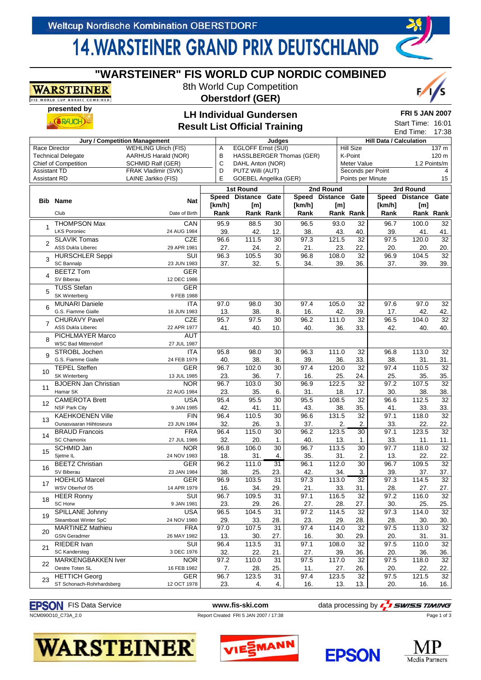## **14. WARSTEINER GRAND PRIX DEUTSCHLAND**

|                                                                           |                             |                                      |                                                            | <b>Result List Official Training</b> |           |                     |                                        |                  |                                | Start Time: 16:01<br>End Time: | 17:38           |
|---------------------------------------------------------------------------|-----------------------------|--------------------------------------|------------------------------------------------------------|--------------------------------------|-----------|---------------------|----------------------------------------|------------------|--------------------------------|--------------------------------|-----------------|
|                                                                           |                             | <b>Jury / Competition Management</b> |                                                            |                                      | Judges    |                     |                                        |                  | <b>Hill Data / Calculation</b> |                                |                 |
| Race Director                                                             |                             | <b>WEHLING Ulrich (FIS)</b>          | Α                                                          | <b>EGLOFF Ernst (SUI)</b>            |           |                     |                                        | <b>Hill Size</b> |                                |                                | 137 m           |
| <b>Technical Delegate</b><br>AARHUS Harald (NOR)                          |                             |                                      |                                                            | HASSLBERGER Thomas (GER)             | K-Point   |                     |                                        | 120 m            |                                |                                |                 |
|                                                                           |                             | <b>SCHMID Ralf (GER)</b>             | в<br>C                                                     | DAHL Anton (NOR)                     |           |                     |                                        | Meter Value      |                                | 1.2 Points/m                   |                 |
| <b>Chief of Competition</b><br><b>Assistant TD</b><br>FRAK Vladimir (SVK) |                             |                                      |                                                            |                                      |           |                     |                                        |                  |                                |                                | 4               |
| <b>Assistant RD</b>                                                       |                             |                                      | D<br>PUTZ Willi (AUT)<br>E<br><b>GOEBEL Angelika (GER)</b> |                                      |           |                     | Seconds per Point<br>Points per Minute |                  |                                |                                |                 |
|                                                                           |                             | LAINE Jarkko (FIS)                   |                                                            |                                      |           |                     |                                        |                  |                                |                                | 15              |
|                                                                           |                             |                                      |                                                            | <b>1st Round</b>                     |           |                     | 2nd Round                              |                  |                                | 3rd Round                      |                 |
|                                                                           |                             |                                      |                                                            | Speed Distance                       | Gate      | Speed Distance Gate |                                        |                  |                                | Speed Distance                 | Gate            |
|                                                                           | <b>Bib Name</b>             | <b>Nat</b>                           | [km/h]                                                     | [m]                                  |           | [km/h]              | [m]                                    |                  | [km/h]                         | [m]                            |                 |
|                                                                           | Club                        | Date of Birth                        | Rank                                                       |                                      | Rank Rank | Rank                |                                        | Rank Rank        | Rank                           | Rank Rank                      |                 |
|                                                                           |                             |                                      |                                                            |                                      |           |                     |                                        |                  |                                |                                |                 |
| 1                                                                         | <b>THOMPSON Max</b>         | CAN                                  | 95.9                                                       | 88.5                                 | 30        | 96.5                | 93.0                                   | 32               | 96.7                           | 100.0                          | 32              |
|                                                                           | <b>LKS Poroniec</b>         | 24 AUG 1984                          | 39.                                                        | 42.                                  | 12.       | 38.                 | 43.                                    | 40.              | 39.                            | 41.                            | 41.             |
|                                                                           | <b>SLAVIK Tomas</b>         | <b>CZE</b>                           | 96.6                                                       | 111.5                                | 30        | 97.3                | 121.5                                  | $\overline{32}$  | 97.5                           | 120.0                          | $\overline{32}$ |
| $\overline{2}$                                                            | <b>ASS Dukla Liberec</b>    | 29 APR 1981                          | 27.                                                        | 24.                                  | 2.        | 21.                 | 23.                                    | 22.              | 20.                            | 20.                            | 20.             |
|                                                                           | <b>HURSCHLER Seppi</b>      | $\overline{\text{SUI}}$              | 96.3                                                       | 105.5                                | 30        | 96.8                | 108.0                                  | $\overline{32}$  | 96.9                           | 104.5                          | 32              |
| 3                                                                         |                             |                                      |                                                            |                                      |           |                     |                                        |                  |                                |                                |                 |
|                                                                           | <b>SC Bannalp</b>           | 23 JUN 1983                          | 37.                                                        | 32.                                  | 5.        | 34.                 | 39.                                    | 36.              | 37.                            | 39.                            | 39.             |
| 4                                                                         | <b>BEETZ Tom</b>            | <b>GER</b>                           |                                                            |                                      |           |                     |                                        |                  |                                |                                |                 |
|                                                                           | SV Biberau                  | 12 DEC 1986                          |                                                            |                                      |           |                     |                                        |                  |                                |                                |                 |
|                                                                           | <b>TUSS Stefan</b>          | <b>GER</b>                           |                                                            |                                      |           |                     |                                        |                  |                                |                                |                 |
| 5                                                                         | <b>SK Winterberg</b>        | 9 FEB 1988                           |                                                            |                                      |           |                     |                                        |                  |                                |                                |                 |
|                                                                           | <b>MUNARI Daniele</b>       | <b>ITA</b>                           | 97.0                                                       | 98.0                                 | 30        | 97.4                | 105.0                                  | 32               | 97.6                           | 97.0                           | 32              |
| 6                                                                         |                             |                                      |                                                            |                                      |           |                     |                                        |                  |                                |                                |                 |
|                                                                           | G.S. Fiamme Gialle          | 16 JUN 1983                          | 13.                                                        | 38.                                  | 8.        | 16.                 | 42.                                    | 39.              | 17.                            | 42.                            | 42.             |
| $\overline{7}$                                                            | <b>CHURAVY Pavel</b>        | <b>CZE</b>                           | 95.7                                                       | 97.5                                 | 30        | 96.2                | 111.0                                  | $\overline{32}$  | 96.5                           | 104.0                          | 32              |
|                                                                           | <b>ASS Dukla Liberec</b>    | 22 APR 1977                          | 41.                                                        | 40.                                  | 10.       | 40.                 | 36.                                    | 33.              | 42.                            | 40.                            | 40.             |
| 8                                                                         | PICHLMAYER Marco            | AUT                                  |                                                            |                                      |           |                     |                                        |                  |                                |                                |                 |
|                                                                           | <b>WSC Bad Mitterndorf</b>  | 27 JUL 1987                          |                                                            |                                      |           |                     |                                        |                  |                                |                                |                 |
|                                                                           | STROBL Jochen               | <b>ITA</b>                           | 95.8                                                       | 98.0                                 | 30        | 96.3                | 111.0                                  | 32               | 96.8                           | 113.0                          | 32              |
| 9                                                                         | G.S. Fiamme Gialle          |                                      |                                                            |                                      |           |                     |                                        |                  |                                |                                |                 |
|                                                                           |                             | 24 FEB 1979                          | 40.                                                        | 38.                                  | 8.        | 39.                 | 36.                                    | 33.              | 38.                            | 31.                            | 31.             |
| 10                                                                        | <b>TEPEL Steffen</b>        | <b>GER</b>                           | 96.7                                                       | 102.0                                | 30        | 97.4                | 120.0                                  | 32               | 97.4                           | 110.5                          | 32              |
|                                                                           | SK Winterberg               | 13 JUL 1985                          | 23.                                                        | 36.                                  | 7.        | 16.                 | 25.                                    | 24.              | 25.                            | 35.                            | 35.             |
|                                                                           | <b>BJOERN Jan Christian</b> | <b>NOR</b>                           | 96.7                                                       | 103.0                                | 30        | 96.9                | 122.5                                  | 32               | 97.2                           | 107.5                          | 32              |
| 11                                                                        | Hamar SK                    | 22 AUG 1984                          | 23.                                                        | 35.                                  | 6.        | 31.                 | 18.                                    | 17.              | 30.                            | 38.                            | 38.             |
|                                                                           | <b>CAMEROTA Brett</b>       | <b>USA</b>                           | 95.4                                                       | 95.5                                 | 30        | 95.5                | 108.5                                  | $\overline{32}$  | 96.6                           | 112.5                          | 32              |
| 12                                                                        |                             |                                      |                                                            |                                      |           |                     |                                        |                  |                                |                                |                 |
|                                                                           | <b>NSF Park City</b>        | 9 JAN 1985                           | 42.                                                        | 41.                                  | 11.       | 43.                 | 38.                                    | 35.              | 41.                            | 33.                            | 33.             |
| 13                                                                        | <b>KAEHKOENEN Ville</b>     | <b>FIN</b>                           | 96.4                                                       | 110.5                                | 30        | 96.6                | 131.5                                  | $\overline{32}$  | 97.1                           | 118.0                          | $\overline{32}$ |
|                                                                           | Ounasvaaran Hiihtoseura     | 23 JUN 1984                          | 32.                                                        | 26.                                  | 3.        | 37.                 | 2.                                     | 2.               | 33.                            | 22.                            | 22.             |
|                                                                           | <b>BRAUD Francois</b>       | <b>FRA</b>                           | 96.4                                                       | 115.0                                | 30        | 96.2                | 123.5                                  | 30               | 97.1                           | 123.5                          | $\overline{32}$ |
| 14                                                                        | <b>SC Chamonix</b>          | 27 JUL 1986                          | 32.                                                        | 20.                                  | 1.        | 40.                 | 13.                                    | 1.               | 33.                            | 11.                            | 11.             |
|                                                                           | SCHMID Jan                  | <b>NOR</b>                           | 96.8                                                       | 106.0                                | 30        | 96.7                | 113.5                                  | $\overline{30}$  | 97.7                           | 118.0                          | 32              |
| 15                                                                        | Sjetne IL                   | 24 NOV 1983                          | 18.                                                        | 31.                                  | 4.        | 35.                 | 31.                                    | 2.               | 13.                            | 22.                            | 22.             |
|                                                                           |                             |                                      |                                                            |                                      |           |                     |                                        |                  |                                |                                |                 |
| 16                                                                        | <b>BEETZ Christian</b>      | GER                                  | 96.2                                                       | 111.0                                | 31        | 96.1                | 112.0                                  | $\overline{30}$  | 96.7                           | 109.5                          | $\overline{32}$ |
|                                                                           | SV Biberau                  | 23 JAN 1984                          | 38.                                                        | 25.                                  | 23.       | 42.                 | 34.                                    | 3.               | 39.                            | 37.                            | 37.             |
| 17                                                                        | <b>HOEHLIG Marcel</b>       | <b>GER</b>                           | 96.9                                                       | 103.5                                | 31        | 97.3                | 113.0                                  | 32               | 97.3                           | 114.5                          | $\overline{32}$ |
|                                                                           | WSV Oberhof 05              | 14 APR 1979                          | 16.                                                        | 34.                                  | 29.       | 21.                 | 33.                                    | 31.              | 28.                            | 27.                            | 27.             |
|                                                                           | <b>HEER Ronny</b>           | SUI                                  | 96.7                                                       | 109.5                                | 31        | 97.1                | 116.5                                  | 32               | 97.2                           | 116.0                          | 32              |
| 18                                                                        | SC Horw                     | 9 JAN 1981                           | 23.                                                        | 29.                                  | 26.       | 27.                 | 28.                                    | 27.              | 30.                            | 25.                            | 25.             |
| 19                                                                        | SPILLANE Johnny             | <b>USA</b>                           | 96.5                                                       | 104.5                                | 31        | 97.2                | 114.5                                  | $\overline{32}$  | 97.3                           | 114.0                          | 32              |
|                                                                           |                             |                                      |                                                            |                                      |           |                     |                                        |                  |                                |                                |                 |
|                                                                           | Steamboat Winter SpC        | 24 NOV 1980                          | 29.                                                        | 33.                                  | 28.       | 23.                 | 29.                                    | 28.              | 28.                            | 30.                            | 30.             |
| 20                                                                        | <b>MARTINEZ Mathieu</b>     | <b>FRA</b>                           | 97.0                                                       | 107.5                                | 31        | 97.4                | 114.0                                  | $\overline{32}$  | 97.5                           | 113.0                          | 32              |
|                                                                           | <b>GSN Geradmer</b>         | 26 MAY 1982                          | 13.                                                        | 30.                                  | 27.       | 16.                 | 30.                                    | 29.              | 20.                            | 31.                            | 31.             |
| 21                                                                        | RIEDER Ivan                 | SUI                                  | 96.4                                                       | 113.5                                | 31        | 97.1                | 108.0                                  | 32               | 97.5                           | 110.0                          | 32              |
|                                                                           | <b>SC Kandersteg</b>        | 3 DEC 1976                           | 32.                                                        | 22.                                  | 21.       | 27.                 | 39.                                    | 36.              | 20.                            | 36.                            | 36.             |
|                                                                           | MARKENGBAKKEN Iver          | <b>NOR</b>                           | 97.2                                                       | 110.0                                | 31        | 97.5                | 117.0                                  | 32               | 97.5                           | 118.0                          | 32              |
| 22                                                                        | Oestre Toten SL             |                                      |                                                            |                                      |           |                     |                                        |                  |                                |                                |                 |
|                                                                           |                             | 16 FEB 1982                          | 7.                                                         | 28.                                  | 25.       | 11.                 | 27.                                    | 26.              | 20.                            | 22.                            | 22.             |
| 23                                                                        | <b>HETTICH Georg</b>        | <b>GER</b>                           | 96.7                                                       | 123.5                                | 31        | 97.4                | 123.5                                  | $\overline{32}$  | 97.5                           | 121.5                          | 32              |
|                                                                           | ST Schonach-Rohrhardsberg   | 12 OCT 1978                          | 23.                                                        | 4.                                   | 4.        | 16.                 | 13.                                    | 13.              | 20.                            | 16.                            | 16.             |

### **"WARSTEINER" FIS WORLD CUP NORDIC COMBINED**

8th World Cup Competition **Oberstdorf (GER)**

**LH Individual Gundersen**



Start Time: 16:01

**presented by**  $(RAICH)$ 

**WARSTEINER** ORLD CUP NORDIC COMBINED

### NCM090O10\_C73A\_2.0 Report Created FRI 5 JAN 2007 / 17:38

**EPSON** FIS Data Service **www.fis-ski.com** data processing by **q SWISS TIMING** 











Page 1 of 3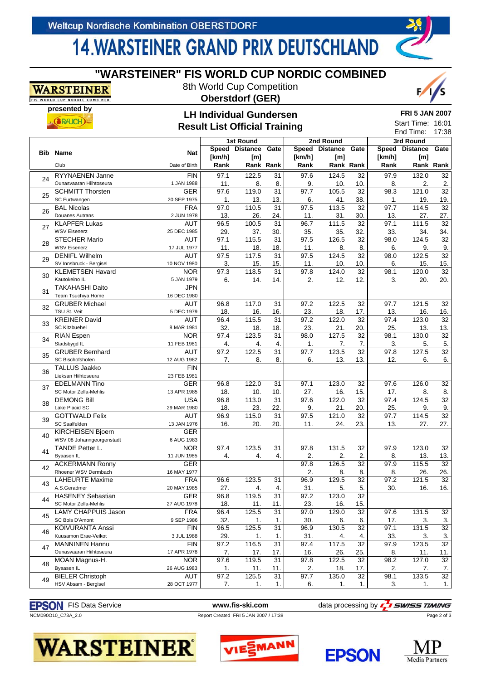**presented by**

. (**SRAICH**)

**WARSTEINER** ORLD CUP NORDIC COMBINED

# **14. WARSTEINER GRAND PRIX DEUTSCHLAND**

|          | Start Time: 16:01<br><b>Result List Official Training</b><br>End Time: |               |                |                                  |                 |        |                             |                  |                |                             | 17:38           |
|----------|------------------------------------------------------------------------|---------------|----------------|----------------------------------|-----------------|--------|-----------------------------|------------------|----------------|-----------------------------|-----------------|
|          |                                                                        |               |                |                                  |                 |        |                             |                  |                |                             |                 |
|          |                                                                        |               |                | 1st Round<br>Speed Distance Gate |                 |        | 2nd Round<br>Speed Distance | Gate             |                | 3rd Round<br>Speed Distance | Gate            |
|          | <b>Bib Name</b>                                                        | <b>Nat</b>    |                |                                  |                 |        |                             |                  |                |                             |                 |
|          | Club                                                                   |               | [km/h]<br>Rank | [m]                              | Rank Rank       | [km/h] | [m]                         | <b>Rank Rank</b> | [km/h]<br>Rank | [m]                         | Rank Rank       |
|          |                                                                        | Date of Birth |                |                                  |                 | Rank   |                             |                  |                |                             |                 |
| 24       | RYYNAENEN Janne                                                        | <b>FIN</b>    | 97.1           | 122.5                            | 31              | 97.6   | 124.5                       | 32               | 97.9           | 132.0                       | 32              |
|          | Ounasvaaran Hiihtoseura                                                | 1 JAN 1988    | 11.            | 8.                               | 8.              | 9.     | 10.                         | 10.              | 8.             | 2.                          | 2.              |
| 25       | <b>SCHMITT Thorsten</b>                                                | <b>GER</b>    | 97.6           | 119.0                            | $\overline{31}$ | 97.7   | 105.5                       | 32               | 98.3           | 121.0                       | 32              |
|          | SC Furtwangen                                                          | 20 SEP 1975   | 1.             | 13.                              | 13.             | 6.     | 41.                         | 38.              | 1.             | 19.                         | 19.             |
| 26       | <b>BAL Nicolas</b>                                                     | <b>FRA</b>    | 97.0           | 110.5                            | $\overline{31}$ | 97.5   | 113.5                       | $\overline{32}$  | 97.7           | 114.5                       | $\overline{32}$ |
|          | <b>Douanes Autrans</b>                                                 | 2 JUN 1978    | 13.            | 26.                              | 24.             | 11.    | 31.                         | 30.              | 13.            | 27.                         | 27.             |
| 27       | <b>KLAPFER Lukas</b>                                                   | <b>AUT</b>    | 96.5           | 100.5                            | $\overline{31}$ | 96.7   | 111.5                       | $\overline{32}$  | 97.1           | 111.5                       | $\overline{32}$ |
|          | <b>WSV Eisenerz</b>                                                    | 25 DEC 1985   | 29.            | 37.                              | 30.             | 35.    | 35.                         | 32.              | 33.            | 34.                         | 34.             |
| 28       | <b>STECHER Mario</b>                                                   | <b>AUT</b>    | 97.1           | 115.5                            | $\overline{31}$ | 97.5   | 126.5                       | 32               | 98.0           | 124.5                       | 32              |
|          | <b>WSV Eisenerz</b>                                                    | 17 JUL 1977   | 11.            | 18.                              | 18.             | 11.    | 8.                          | 8.               | 6.             | 9.                          | 9.              |
| 29       | <b>DENIFL Wilhelm</b>                                                  | AUT           | 97.5           | 117.5                            | 31              | 97.5   | 124.5                       | 32               | 98.0           | 122.5                       | 32              |
|          | SV Innsbruck - Bergisel                                                | 10 NOV 1980   | 3.             | 15.                              | 15.             | 11.    | 10.                         | 10.              | 6.             | 15.                         | 15.             |
| 30       | <b>KLEMETSEN Havard</b>                                                | <b>NOR</b>    | 97.3           | 118.5                            | 31              | 97.8   | 124.0                       | 32               | 98.1           | 120.0                       | 32              |
|          | Kautokeino IL                                                          | 5 JAN 1979    | 6.             | 14.                              | 14.             | 2.     | 12.                         | 12.              | 3.             | 20.                         | 20.             |
| 31       | <b>TAKAHASHI Daito</b>                                                 | <b>JPN</b>    |                |                                  |                 |        |                             |                  |                |                             |                 |
|          | Team Tsuchiya Home                                                     | 16 DEC 1980   |                |                                  |                 |        |                             |                  |                |                             |                 |
| 32       | <b>GRUBER Michael</b>                                                  | AUT           | 96.8           | 117.0                            | 31              | 97.2   | 122.5                       | 32               | 97.7           | 121.5                       | 32              |
|          | TSU St. Veit                                                           | 5 DEC 1979    | 18.            | 16.                              | 16.             | 23.    | 18.                         | 17.              | 13.            | 16.                         | 16.             |
| 33       | <b>KREINER David</b>                                                   | <b>AUT</b>    | 96.4           | 115.5                            | $\overline{31}$ | 97.2   | 122.0                       | 32               | 97.4           | 123.0                       | 32              |
|          | <b>SC Kitzbuehel</b>                                                   | 8 MAR 1981    | 32.            | 18.                              | 18.             | 23.    | 21.                         | 20.              | 25.            | 13.                         | 13.             |
| 34       | <b>RIAN Espen</b>                                                      | <b>NOR</b>    | 97.4           | 123.5                            | 31              | 98.0   | 127.5                       | 32               | 98.1           | 130.0                       | $\overline{32}$ |
|          | Stadsbygd IL                                                           | 11 FEB 1981   | 4.             | 4.                               | 4.              | 1.     | 7.                          | 7.               | 3.             | 5.                          | 5.              |
| 35       | <b>GRUBER Bernhard</b>                                                 | <b>AUT</b>    | 97.2           | 122.5                            | 31              | 97.7   | 123.5                       | 32               | 97.8           | 127.5                       | $\overline{32}$ |
|          | SC Bischofshofen                                                       | 12 AUG 1982   | 7.             | 8.                               | 8.              | 6.     | 13.                         | 13.              | 12.            | 6.                          | 6.              |
| 36       | <b>TALLUS Jaakko</b>                                                   | <b>FIN</b>    |                |                                  |                 |        |                             |                  |                |                             |                 |
|          | Lieksan Hiihtoseura                                                    | 23 FEB 1981   |                |                                  |                 |        |                             |                  |                |                             |                 |
| 37       | <b>EDELMANN Tino</b>                                                   | <b>GER</b>    | 96.8           | 122.0                            | 31              | 97.1   | 123.0                       | 32               | 97.6           | 126.0                       | 32              |
|          | SC Motor Zella-Mehlis                                                  | 13 APR 1985   | 18.            | 10.                              | 10.             | 27.    | 16.                         | 15.              | 17.            | 8.                          | 8.              |
| 38       | <b>DEMONG Bill</b>                                                     | <b>USA</b>    | 96.8           | 113.0                            | 31              | 97.6   | 122.0                       | 32               | 97.4           | 124.5                       | 32              |
|          | Lake Placid SC                                                         | 29 MAR 1980   | 18.            | 23.                              | 22.             | 9.     | 21.                         | 20.              | 25.            | 9.                          | 9.              |
| 39       | <b>GOTTWALD Felix</b>                                                  | <b>AUT</b>    | 96.9           | 115.0                            | $\overline{31}$ | 97.5   | 121.0                       | $\overline{32}$  | 97.7           | 114.5                       | $\overline{32}$ |
|          | SC Saalfelden                                                          | 13 JAN 1976   | 16.            | 20.                              | 20.             | 11.    | 24.                         | 23.              | 13.            | 27.                         | 27.             |
| 40       | KIRCHEISEN Bjoern                                                      | <b>GER</b>    |                |                                  |                 |        |                             |                  |                |                             |                 |
|          | WSV 08 Johanngeorgenstadt                                              | 6 AUG 1983    |                |                                  |                 |        |                             |                  |                |                             |                 |
| 41       | <b>TANDE Petter L.</b>                                                 | <b>NOR</b>    | 97.4           | 123.5                            | 31              | 97.8   | 131.5                       | 32               | 97.9           | 123.0                       | 32              |
|          | Byaasen IL                                                             | 11 JUN 1985   | 4.             | 4.                               | 4.              | 2.     | 2.                          | 2.               | 8.             | 13.                         | 13.             |
| 42       | <b>ACKERMANN Ronny</b>                                                 | <b>GER</b>    |                |                                  |                 | 97.8   | 126.5                       | 32               | 97.9           | 115.5                       | $\overline{32}$ |
|          | Rhoener WSV Dermbach                                                   | 16 MAY 1977   |                |                                  |                 | 2.     | 8.                          | 8.               | 8.             | 26.                         | 26.             |
| 43       | <b>LAHEURTE Maxime</b>                                                 | <b>FRA</b>    | 96.6           | 123.5                            | 31              | 96.9   | 129.5                       | 32               | 97.2           | 121.5                       | 32              |
|          | A.S.Geradmer                                                           | 20 MAY 1985   | 27.            | 4.                               | 4.              | 31.    | 5.                          | 5.               | 30.            | 16.                         | 16.             |
| 44       | <b>HASENEY Sebastian</b>                                               | <b>GER</b>    | 96.8           | 119.5                            | $\overline{31}$ | 97.2   | 123.0                       | $\overline{32}$  |                |                             |                 |
| 45       | SC Motor Zella-Mehlis                                                  | 27 AUG 1978   | 18.            | 11.                              | 11.             | 23.    | 16.                         | 15.              |                |                             |                 |
|          | <b>LAMY CHAPPUIS Jason</b>                                             | <b>FRA</b>    | 96.4           | 125.5                            | 31              | 97.0   | 129.0                       | 32               | 97.6           | 131.5                       | 32              |
|          | SC Bois D'Amont                                                        | 9 SEP 1986    | 32.            | 1.                               | $\mathbf{1}$ .  | 30.    | 6.                          | 6.               | 17.            | 3.                          | 3.              |
| 46<br>47 | <b>KOIVURANTA Anssi</b>                                                | <b>FIN</b>    | 96.5           | 125.5                            | $\overline{31}$ | 96.9   | 130.5                       | 32               | 97.1           | 131.5                       | $\overline{32}$ |
|          | Kuusamon Erae-Veikot                                                   | 3 JUL 1988    | 29.            | 1.                               | 1.              | 31.    | 4.                          | 4.               | 33.            | 3.                          | 3.              |
|          | <b>MANNINEN Hannu</b>                                                  | <b>FIN</b>    | 97.2           | 116.5                            | $\overline{31}$ | 97.4   | 117.5                       | 32               | 97.9           | 123.5                       | $\overline{32}$ |
|          | Ounasvaaran Hiihtoseura                                                | 17 APR 1978   | 7.             | 17.                              | 17.             | 16.    | 26.                         | 25.              | 8.             | 11.                         | 11.             |
| 48       | MOAN Magnus-H.                                                         | <b>NOR</b>    | 97.6           | 119.5                            | 31              | 97.8   | 122.5                       | 32               | 98.2           | 127.0                       | 32              |
|          | Byaasen IL                                                             | 26 AUG 1983   | 1.             | 11.                              | 11.             | 2.     | 18.                         | 17.              | 2.             | 7.                          | 7.              |
| 49       | <b>BIELER Christoph</b>                                                | <b>AUT</b>    | 97.2           | 125.5                            | 31              | 97.7   | 135.0                       | 32               | 98.1           | 133.5                       | $\overline{32}$ |
|          | HSV Absam - Bergisel                                                   | 28 OCT 1977   | 7.             | 1.                               | 1.              | 6.     | 1.                          | 1.               | 3.             | 1.                          | 1.              |

#### **"WARSTEINER" FIS WORLD CUP NORDIC COMBINED**

8th World Cup Competition **Oberstdorf (GER)**

**LH Individual Gundersen**



**FRI 5 JAN 2007**

Start Time: 16:01

|  | <b>EPSON</b> FIS Data Service |
|--|-------------------------------|
|--|-------------------------------|

NCM090O10\_C73A\_2.0 Report Created FRI 5 JAN 2007 / 17:38

**SWISS TIMING** www.fis-ski.com data processing by Page 2 of 3

# **WARSTEINER**®